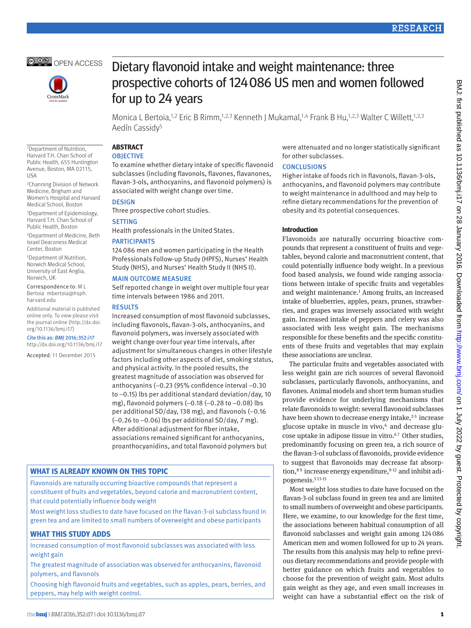



1Department of Nutrition, Harvard T.H. Chan School of Public Health, 655 Huntington Avenue, Boston, MA 02115,

2Channing Division of Network Medicine, Brigham and Women's Hospital and Harvard Medical School, Boston 3Department of Epidemiology, Harvard T.H. Chan School of Public Health, Boston 4Department of Medicine, Beth Israel Deaconess Medical Center, Boston 5Department of Nutrition, Norwich Medical School, University of East Anglia,

USA

Norwich, UK

harvard.edu

Correspondence to: M L Bertoia mbertoia@hsph.

Additional material is published online only. To view please visit the journal online (http://dx.doi. org/10.1136/bmj.i17) Cite this as: *BMJ* 2016;352:i17 http://dx.doi.org/10.1136/bmj.i17 Accepted: 11 December 2015

# Dietary flavonoid intake and weight maintenance: three prospective cohorts of 124086 US men and women followed for up to 24 years

Monica L Bertoia,<sup>1,2</sup> Eric B Rimm,<sup>1,2,3</sup> Kenneth J Mukamal,<sup>1,4</sup> Frank B Hu,<sup>1,2,3</sup> Walter C Willett,<sup>1,2,3</sup> Aedín Cassidy5

# **ABSTRACT**

# **OBJECTIVE**

To examine whether dietary intake of specific flavonoid subclasses (including flavonols, flavones, flavanones, flavan-3-ols, anthocyanins, and flavonoid polymers) is associated with weight change over time.

# **DESIGN**

Three prospective cohort studies.

## **SETTING**

Health professionals in the United States.

#### **PARTICIPANTS**

124086 men and women participating in the Health Professionals Follow-up Study (HPFS), Nurses' Health Study (NHS), and Nurses' Health Study II (NHS II).

#### **MAIN OUTCOME MEASURE**

Self reported change in weight over multiple four year time intervals between 1986 and 2011.

#### **RESULTS**

Increased consumption of most flavonoid subclasses, including flavonols, flavan-3-ols, anthocyanins, and flavonoid polymers, was inversely associated with weight change over four year time intervals, after adjustment for simultaneous changes in other lifestyle factors including other aspects of diet, smoking status, and physical activity. In the pooled results, the greatest magnitude of association was observed for anthocyanins (−0.23 (95% confidence interval −0.30 to −0.15) lbs per additional standard deviation/day, 10 mg), flavonoid polymers (-0.18 (-0.28 to -0.08) lbs per additional SD/day, 138 mg), and flavonols (−0.16 (−0.26 to −0.06) lbs per additional SD/day, 7 mg). After additional adjustment for fiber intake, associations remained significant for anthocyanins, proanthocyanidins, and total flavonoid polymers but

# **What is already known on this topic**

Flavonoids are naturally occurring bioactive compounds that represent a constituent of fruits and vegetables, beyond calorie and macronutrient content, that could potentially influence body weight

Most weight loss studies to date have focused on the flavan-3-ol subclass found in green tea and are limited to small numbers of overweight and obese participants

# **What this study adds**

Increased consumption of most flavonoid subclasses was associated with less weight gain

The greatest magnitude of association was observed for anthocyanins, flavonoid polymers, and flavonols

Choosing high flavonoid fruits and vegetables, such as apples, pears, berries, and peppers, may help with weight control.

were attenuated and no longer statistically significant for other subclasses.

## **CONCLUSIONS**

Higher intake of foods rich in flavonols, flavan-3-ols, anthocyanins, and flavonoid polymers may contribute to weight maintenance in adulthood and may help to refine dietary recommendations for the prevention of obesity and its potential consequences.

## **Introduction**

Flavonoids are naturally occurring bioactive compounds that represent a constituent of fruits and vegetables, beyond calorie and macronutrient content, that could potentially influence body weight. In a previous food based analysis, we found wide ranging associations between intake of specific fruits and vegetables and weight maintenance.<sup>1</sup> Among fruits, an increased intake of blueberries, apples, pears, prunes, strawberries, and grapes was inversely associated with weight gain. Increased intake of peppers and celery was also associated with less weight gain. The mechanisms responsible for these benefits and the specific constituents of these fruits and vegetables that may explain these associations are unclear.

The particular fruits and vegetables associated with less weight gain are rich sources of several flavonoid subclasses, particularly flavonols, anthocyanins, and flavones. Animal models and short term human studies provide evidence for underlying mechanisms that relate flavonoids to weight: several flavonoid subclasses have been shown to decrease energy intake,<sup>2-5</sup> increase glucose uptake in muscle in vivo,<sup>6</sup> and decrease glucose uptake in adipose tissue in vitro.<sup>67</sup> Other studies, predominantly focusing on green tea, a rich source of the flavan-3-ol subclass of flavonoids, provide evidence to suggest that flavonoids may decrease fat absorption, 89 increase energy expenditure, 9-12 and inhibit adipogenesis.<sup>513-15</sup>

Most weight loss studies to date have focused on the flavan-3-ol subclass found in green tea and are limited to small numbers of overweight and obese participants. Here, we examine, to our knowledge for the first time, the associations between habitual consumption of all flavonoid subclasses and weight gain among 124086 American men and women followed for up to 24 years. The results from this analysis may help to refine previous dietary recommendations and provide people with better guidance on which fruits and vegetables to choose for the prevention of weight gain. Most adults gain weight as they age, and even small increases in weight can have a substantial effect on the risk of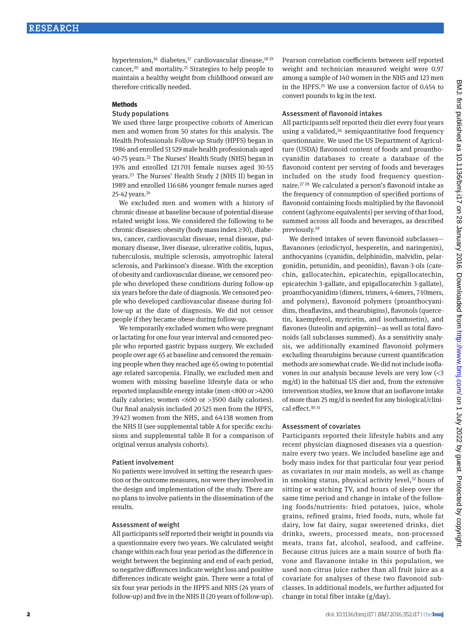hypertension,<sup>16</sup> diabetes,<sup>17</sup> cardiovascular disease,<sup>1819</sup> cancer,20 and mortality.21 Strategies to help people to maintain a healthy weight from childhood onward are therefore critically needed.

#### **Methods**

#### Study populations

We used three large prospective cohorts of American men and women from 50 states for this analysis. The Health Professionals Follow-up Study (HPFS) began in 1986 and enrolled 51 529 male health professionals aged 40-75 years.22 The Nurses' Health Study (NHS) began in 1976 and enrolled 121 701 female nurses aged 30-55 years.23 The Nurses' Health Study 2 (NHS II) began in 1989 and enrolled 116686 younger female nurses aged 25-42 years.24

We excluded men and women with a history of chronic disease at baseline because of potential disease related weight loss. We considered the following to be chronic diseases: obesity (body mass index ≥30), diabetes, cancer, cardiovascular disease, renal disease, pulmonary disease, liver disease, ulcerative colitis, lupus, tuberculosis, multiple sclerosis, amyotrophic lateral sclerosis, and Parkinson's disease. With the exception of obesity and cardiovascular disease, we censored people who developed these conditions during follow-up six years before the date of diagnosis. We censored people who developed cardiovascular disease during follow-up at the date of diagnosis. We did not censor people if they became obese during follow-up.

We temporarily excluded women who were pregnant or lactating for one four year interval and censored people who reported gastric bypass surgery. We excluded people over age 65 at baseline and censored the remaining people when they reached age 65 owing to potential age related sarcopenia. Finally, we excluded men and women with missing baseline lifestyle data or who reported implausible energy intake (men <800 or >4200 daily calories; women <600 or >3500 daily calories). Our final analysis included 20525 men from the HPFS, 39 423 women from the NHS, and 64138 women from the NHS II (see supplemental table A for specific exclusions and supplemental table B for a comparison of original versus analysis cohorts).

#### Patient involvement

No patients were involved in setting the research question or the outcome measures, nor were they involved in the design and implementation of the study. There are no plans to involve patients in the dissemination of the results.

#### Assessment of weight

All participants self reported their weight in pounds via a questionnaire every two years. We calculated weight change within each four year period as the difference in weight between the beginning and end of each period, so negative differences indicate weight loss and positive differences indicate weight gain. There were a total of six four year periods in the HPFS and NHS (24 years of follow-up) and five in the NHS II (20 years of follow-up). Pearson correlation coefficients between self reported weight and technician measured weight were 0.97 among a sample of 140 women in the NHS and 123 men in the HPFS.25 We use a conversion factor of 0.454 to convert pounds to kg in the text.

#### Assessment of flavonoid intakes

All participants self reported their diet every four years using a validated,<sup>26</sup> semiquantitative food frequency questionnaire. We used the US Department of Agriculture (USDA) flavonoid content of foods and proanthocyanidin databases to create a database of the flavonoid content per serving of foods and beverages included on the study food frequency questionnaire.27 <sup>28</sup> We calculated a person's flavonoid intake as the frequency of consumption of specified portions of flavonoid containing foods multiplied by the flavonoid content (aglycone equivalents) per serving of that food, summed across all foods and beverages, as described previously.29

We derived intakes of seven flavonoid subclasses flavanones (eriodictyol, hesperetin, and naringenin), anthocyanins (cyanidin, delphinidin, malvidin, pelargonidin, petunidin, and peonidin), flavan-3-ols (catechin, gallocatechin, epicatechin, epigallocatechin, epicatechin 3-gallate, and epigallocatechin 3-gallate), proanthocyanidins (dimers, trimers, 4-6mers, 7-10mers, and polymers), flavonoid polymers (proanthocyanidins, theaflavins, and thearubigins), flavonols (quercetin, kaempferol, myricetin, and isorhamnetin), and flavones (luteolin and apigenin)—as well as total flavonoids (all subclasses summed). As a sensitivity analysis, we additionally examined flavonoid polymers excluding thearubigins because current quantification methods are somewhat crude. We did not include isoflavones in our analysis because levels are very low (<3 mg/d) in the habitual US diet and, from the extensive intervention studies, we know that an isoflavone intake of more than 25 mg/d is needed for any biological/clinical effect.30 <sup>31</sup>

#### Assessment of covariates

Participants reported their lifestyle habits and any recent physician diagnosed diseases via a questionnaire every two years. We included baseline age and body mass index for that particular four year period as covariates in our main models, as well as change in smoking status, physical activity level,<sup>32</sup> hours of sitting or watching TV, and hours of sleep over the same time period and change in intake of the following foods/nutrients: fried potatoes, juice, whole grains, refined grains, fried foods, nuts, whole fat dairy, low fat dairy, sugar sweetened drinks, diet drinks, sweets, processed meats, non-processed meats, trans fat, alcohol, seafood, and caffeine. Because citrus juices are a main source of both flavone and flavanone intake in this population, we used non-citrus juice rather than all fruit juice as a covariate for analyses of these two flavonoid subclasses. In additional models, we further adjusted for change in total fiber intake (g/day).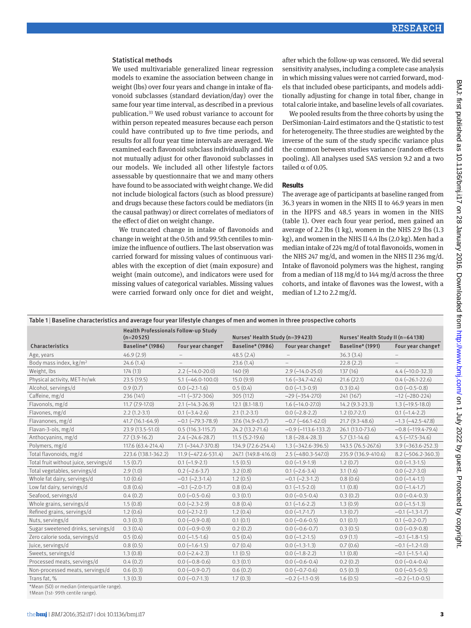# Statistical methods

We used multivariable generalized linear regression models to examine the association between change in weight (lbs) over four years and change in intake of flavonoid subclasses (standard deviation/day) over the same four year time interval, as described in a previous publication.33 We used robust variance to account for within person repeated measures because each person could have contributed up to five time periods, and results for all four year time intervals are averaged. We examined each flavonoid subclass individually and did not mutually adjust for other flavonoid subclasses in our models. We included all other lifestyle factors assessable by questionnaire that we and many others have found to be associated with weight change. We did not include biological factors (such as blood pressure) and drugs because these factors could be mediators (in the causal pathway) or direct correlates of mediators of the effect of diet on weight change.

We truncated change in intake of flavonoids and change in weight at the 0.5th and 99.5th centiles to minimize the influence of outliers. The last observation was carried forward for missing values of continuous variables with the exception of diet (main exposure) and weight (main outcome), and indicators were used for missing values of categorical variables. Missing values were carried forward only once for diet and weight,

after which the follow-up was censored. We did several sensitivity analyses, including a complete case analysis in which missing values were not carried forward, models that included obese participants, and models additionally adjusting for change in total fiber, change in total calorie intake, and baseline levels of all covariates.

We pooled results from the three cohorts by using the DerSimonian-Laird estimators and the Q statistic to test for heterogeneity. The three studies are weighted by the inverse of the sum of the study specific variance plus the common between studies variance (random effects pooling). All analyses used SAS version 9.2 and a two tailed  $\alpha$  of 0.05.

#### **Results**

The average age of participants at baseline ranged from 36.3 years in women in the NHS II to 46.9 years in men in the HPFS and 48.5 years in women in the NHS (table 1). Over each four year period, men gained an average of 2.2 lbs (1 kg), women in the NHS 2.9 lbs (1.3 kg), and women in the NHS II 4.4 lbs (2.0 kg). Men had a median intake of 224 mg/d of total flavonoids, women in the NHS 247 mg/d, and women in the NHS II 236 mg/d. Intake of flavonoid polymers was the highest, ranging from a median of 118 mg/d to 144 mg/d across the three cohorts, and intake of flavones was the lowest, with a median of 1.2 to 2.2 mg/d.

#### Table 1 | Baseline characteristics and average four year lifestyle changes of men and women in three prospective cohorts

|                                             | Health Professionals Follow-up Study<br>$(n=20525)$ |                          | Nurses' Health Study (n=39423) |                            | Nurses' Health Study II (n=64138) |                          |
|---------------------------------------------|-----------------------------------------------------|--------------------------|--------------------------------|----------------------------|-----------------------------------|--------------------------|
| Characteristics                             | Baseline* (1986)                                    | Four year changet        | Baseline* (1986)               | Four year changet          | Baseline* (1991)                  | Four year changet        |
| Age, years                                  | 46.9(2.9)                                           |                          | 48.5(2.4)                      |                            | 36.3(3.4)                         |                          |
| Body mass index, kg/m <sup>2</sup>          | 24.6(1.4)                                           |                          | 23.6(1.4)                      | $=$                        | 22.8(2.2)                         | ÷.                       |
| Weight, lbs                                 | 174 (13)                                            | $2.2$ (-14.0-20.0)       | 140(9)                         | $2.9(-14.0-25.0)$          | 137(16)                           | $4.4(-10.0-32.3)$        |
| Physical activity, MET-hr/wk                | 23.5(19.5)                                          | $5.1 (-46.0 - 100.0)$    | 15.0(9.9)                      | $1.6(-34.7-42.6)$          | 21.6(22.1)                        | $0.4 (-26.1 - 22.6)$     |
| Alcohol, servings/d                         | 0.9(0.7)                                            | $0.0 (-2.1 - 1.6)$       | 0.5(0.4)                       | $0.0 (-1.3 - 0.9)$         | 0.3(0.4)                          | $0.0 (-0.5 - 0.8)$       |
| Caffeine, mg/d                              | 236 (141)                                           | $-11 (-372 - 306)$       | 305 (112)                      | $-29(-354-270)$            | 241 (167)                         | $-12 (-280 - 224)$       |
| Flavonols, mg/d                             | $11.7(7.9-17.0)$                                    | $2.1$ (-14.3-26.9)       | $12.1 (8.1 - 18.1)$            | $1.6(-14.0-27.0)$          | 14.2 (9.3-23.3)                   | $1.3$ ( $-19.5 - 18.0$ ) |
| Flavones, mg/d                              | $2.2(1.2-3.1)$                                      | $0.1$ $(-3.4 - 2.6)$     | $2.1(1.2-3.1)$                 | $0.0 (-2.8-2.2)$           | $1.2(0.7-2.1)$                    | $0.1$ $(-1.4-2.2)$       |
| Flavanones, mg/d                            | $41.7(16.1-64.9)$                                   | $-0.1$ $(-79.3 - 78.9)$  | 37.6 (14.9-63.7)               | $-0.7$ ( $-66.1 - 62.0$ )  | $21.7(9.3-48.6)$                  | $-1.3$ $(-42.5 - 47.8)$  |
| Flavan-3-ols, mg/d                          | 23.9 (13.5-51.0)                                    | $0.5(116.3-115.7)$       | 24.2 (13.2-71.6)               | $-0.9$ ( $-113.6-133.2$ )  | 26.1 (13.0-73.6)                  | $-0.8$ $(-119.4 - 79.4)$ |
| Anthocyanins, mg/d                          | $7.7(3.9-16.2)$                                     | $2.4 (-24.6 - 28.7)$     | $11.5(5.2-19.6)$               | $1.8(-28.4-28.3)$          | $5.7(3.1-14.6)$                   | $4.5$ ( $-17.5 - 34.6$ ) |
| Polymers, mg/d                              | 117.6 (63.4-214.4)                                  | $7.1$ $(-344.7 - 370.8)$ | 134.9 (72.6-254.4)             | $1.3$ ( $-342.6 - 396.5$ ) | 143.5 (76.5-267.6)                | $3.9(-363.6-252.3)$      |
| Total flavonoids, mg/d                      | 223.6 (138.1-362.2)                                 | 11.9 (-472.6-531.4)      | 247.1 (149.8-416.0)            | $2.5$ (-480.3-547.0)       | 235.9 (136.9-410.6)               | $8.2 (-506.2 - 360.3)$   |
| Total fruit without juice, servings/d       | 1.5(0.7)                                            | $0.1 (-1.9 - 2.1)$       | 1.5(0.5)                       | $0.0$ (-1.9-1.9)           | 1.2(0.7)                          | $0.0$ ( $-1.3-1.5$ )     |
| Total vegetables, servings/d                | 2.9(1.0)                                            | $0.2 (-2.6 - 3.7)$       | 3.2(0.8)                       | $0.1$ (-2.6-3.4)           | 3.1(1.6)                          | $0.0 (-2.7-3.0)$         |
| Whole fat dairy, servings/d                 | 1.0(0.6)                                            | $-0.1$ $(-2.3-1.4)$      | 1.2(0.5)                       | $-0.1$ $(-2.3-1.2)$        | 0.8(0.6)                          | $0.0 (-1.4 - 1.1)$       |
| Low fat dairy, servings/d                   | 0.8(0.6)                                            | $-0.1$ $(-2.0 - 1.7)$    | 0.8(0.4)                       | $0.1$ $(-1.5-2.0)$         | 1.1(0.8)                          | $0.0$ $(-1.4-1.7)$       |
| Seafood, servings/d                         | 0.4(0.2)                                            | $0.0 (-0.5 - 0.6)$       | 0.3(0.1)                       | $0.0 (-0.5 - 0.4)$         | 0.3(0.2)                          | $0.0 (-0.4-0.3)$         |
| Whole grains, servings/d                    | 1.5(0.8)                                            | $0.0 (-2.3 - 2.9)$       | 0.8(0.4)                       | $0.1 (-1.6 - 2.2)$         | 1.3(0.9)                          | $0.0$ ( $-1.5-1.3$ )     |
| Refined grains, servings/d                  | 1.2(0.6)                                            | $0.0 (-2.1 - 2.1)$       | 1.2(0.4)                       | $0.0$ (-1.7-1.7)           | 1.3(0.7)                          | $-0.1$ $(-1.3-1.7)$      |
| Nuts, servings/d                            | 0.3(0.3)                                            | $0.0 (-0.9 - 0.8)$       | 0.1(0.1)                       | $0.0 (-0.6 - 0.5)$         | 0.1(0.1)                          | $0.1 (-0.2 - 0.7)$       |
| Sugar sweetened drinks, servings/d          | 0.3(0.4)                                            | $0.0 (-0.9 - 0.9)$       | 0.2(0.2)                       | $0.0 (-0.6 - 0.7)$         | 0.3(0.5)                          | $0.0 (-0.9 - 0.8)$       |
| Zero calorie soda, servings/d               | 0.5(0.6)                                            | $0.0$ ( $-1.5-1.6$ )     | 0.5(0.4)                       | $0.0$ (-1.2-1.5)           | 0.9(1.1)                          | $-0.1$ $(-1.8-1.5)$      |
| Juice, servings/d                           | 0.8(0.5)                                            | $0.0$ ( $-1.6 - 1.5$ )   | 0.7(0.4)                       | $0.0$ ( $-1.3-1.3$ )       | 0.7(0.6)                          | $-0.1$ $(-1.2 - 1.0)$    |
| Sweets, servings/d                          | 1.3(0.8)                                            | $0.0$ ( $-2.4 - 2.3$ )   | 1.1(0.5)                       | $0.0$ ( $-1.8-2.2$ )       | 1.1(0.8)                          | $-0.1$ $(-1.5-1.4)$      |
| Processed meats, servings/d                 | 0.4(0.2)                                            | $0.0 (-0.8 - 0.6)$       | 0.3(0.1)                       | $0.0 (-0.6 - 0.4)$         | 0.2(0.2)                          | $0.0 (-0.4 - 0.4)$       |
| Non-processed meats, servings/d             | 0.6(0.3)                                            | $0.0 (-0.9 - 0.7)$       | 0.6(0.2)                       | $0.0 (-0.7 - 0.6)$         | 0.5(0.3)                          | $0.0 (-0.5 - 0.5)$       |
| Trans fat, %                                | 1.3(0.3)                                            | $0.0 (-0.7-1.3)$         | 1.7(0.3)                       | $-0.2$ ( $-1.1-0.9$ )      | 1.6(0.5)                          | $-0.2$ (-1.0-0.5)        |
| *Mean (SD) or median (interquartile range). |                                                     |                          |                                |                            |                                   |                          |

†Mean (1st- 99th centile range).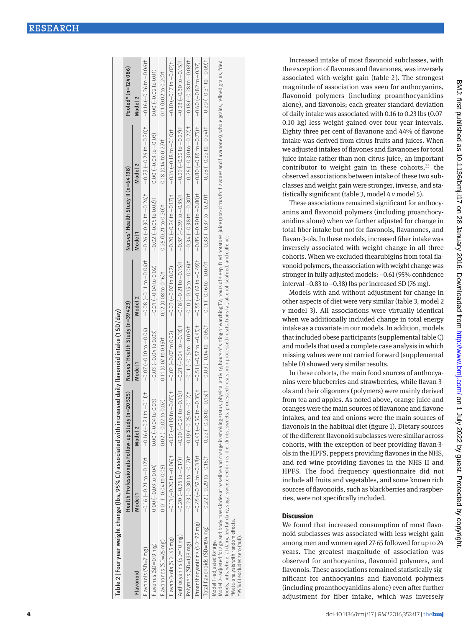| Table 2   Four year weight change (lbs, 95% CI) associated with increased daily flavonoid intake (1 SD/day)                                                                                                                                                                                                                                                                                                            |                        |                                                                                                                                                                                                                                                         |                                |                                    |                                              |                                                                                                                                                                                                                                |                                    |
|------------------------------------------------------------------------------------------------------------------------------------------------------------------------------------------------------------------------------------------------------------------------------------------------------------------------------------------------------------------------------------------------------------------------|------------------------|---------------------------------------------------------------------------------------------------------------------------------------------------------------------------------------------------------------------------------------------------------|--------------------------------|------------------------------------|----------------------------------------------|--------------------------------------------------------------------------------------------------------------------------------------------------------------------------------------------------------------------------------|------------------------------------|
|                                                                                                                                                                                                                                                                                                                                                                                                                        |                        | Health Professionals Follow-up Study (n=20525)                                                                                                                                                                                                          | Nurses' Health Study (n=39423) |                                    | Nurses' Health Study II (n=64138)            |                                                                                                                                                                                                                                | Pooled* (n=124086)                 |
| Flavonoid                                                                                                                                                                                                                                                                                                                                                                                                              | Model 1                | Model <sub>2</sub>                                                                                                                                                                                                                                      | Model <sub>1</sub>             | Model <sub>2</sub>                 | Model <sub>1</sub>                           | Model <sub>2</sub>                                                                                                                                                                                                             | Model <sub>2</sub>                 |
| Flavonols (SD=7 mg)                                                                                                                                                                                                                                                                                                                                                                                                    |                        |                                                                                                                                                                                                                                                         |                                |                                    |                                              |                                                                                                                                                                                                                                |                                    |
| Flavones (SD=0.9 mg)                                                                                                                                                                                                                                                                                                                                                                                                   | $0.00 (-0.03 to 0.04)$ | $0.00 (-0.04 to 0.03)$                                                                                                                                                                                                                                  | $-0.03(-0.04 to 0.03)$         | $-0.01(-0.04 to 0.02)$             | $-0.02(-0.05 to 0.02)$ $+0.03(0.05 to 0.05)$ |                                                                                                                                                                                                                                | $0.00 (-0.02 to 0.01)$             |
| Flavanones (SD=25 mg)                                                                                                                                                                                                                                                                                                                                                                                                  | $0.01 (-0.04 to 0.05)$ | $0.02 (-0.02 \text{ to } 0.07)$                                                                                                                                                                                                                         | $0.11$ $(0.07$ to $0.15$ ) t   | $0.12$ (0.08 to 0.16) <sup>†</sup> | $0.25(0.21 to 0.30)$ †                       | $0.18$ (0.14 to 0.22) t                                                                                                                                                                                                        | $0.11$ (0.02 to 0.20) <sup>†</sup> |
| Flavan-3-ols $(SD=45$ mg)                                                                                                                                                                                                                                                                                                                                                                                              |                        | $-0.13$ $(-0.2010 - 0.06)$ $+$ $-0.1910 - 0.1910 - 0.0710 - 0.0710 - 0.02010 - 0.0010 - 0.0010 - 0.0000 - 0.0000 - 0.0000 - 0.0000 - 0.0000 - 0.0000 - 0.0000 - 0.0000 - 0.0000 - 0.0000 - 0.0000 - 0.0000 - 0.0000 - 0.0000 - 0.0000 - 0.0000 - 0.000$ |                                | $-0.03 (-0.07 to 0.02)$            |                                              | +(20) 0-21 ZLO-U QLO-U QLO-O-QLO-U QLO-U QLO-U QLO-U QLO-U QLO-U QZO-U QLO-O-QLO-O-O-O-O-O-QLO-O-QLO-U QLO-U QLO-U QLO-U QLO-U QLO-U QLO-O-QLO-O-QLO-O-QLO-O-QLO-O-QLO-O-QLO-O-QLO-O-QLO-O-QLO-O-QLO-O-QLO-O-QLO-O-QLO-O-QLO-O |                                    |
| Anthocyanins (SD=10 mg)                                                                                                                                                                                                                                                                                                                                                                                                |                        | +1,5t101 0 0 0 0 − 2 1/2 0 − 2 1/2 0 − 2 1/2 0 − 2 1/2 0 − 2 1/2 0 − 2 1/2 − 2 1/2 − 2 1/2 − 2 1/2 − 2 1/2 − 2 1/2 − 2 1/2 − 2 1/2 − 2 1/2 − 2 1/2 − 2 1/2 − 2 1/2 − 2 1/2 − 2 1/2 − 2 1/2 − 2 1/2 − 2 1/2 − 2 1/2 − 2 1/2 −                            |                                |                                    |                                              |                                                                                                                                                                                                                                |                                    |
| Polymers (SD=138 mg)                                                                                                                                                                                                                                                                                                                                                                                                   |                        |                                                                                                                                                                                                                                                         |                                |                                    |                                              |                                                                                                                                                                                                                                |                                    |
| Proanthocyanidins (SD=72 mg)                                                                                                                                                                                                                                                                                                                                                                                           |                        |                                                                                                                                                                                                                                                         |                                |                                    |                                              |                                                                                                                                                                                                                                |                                    |
| Total flavonoids (SD=194 mg)                                                                                                                                                                                                                                                                                                                                                                                           |                        | 4)5000−2−27200−2−27200−2−27200−2−27200−2−27200−2−27200−21200−21200−21200−21200−21200−21200−21200−21200−21200−21200−21200−21200−21200−21200−21200−21200−21200−21200−21200−21200−21200−21200−22200−21200−21200−22200−21200−212                            |                                |                                    |                                              |                                                                                                                                                                                                                                |                                    |
| Model 2=adjusted for age and body mass index at baseline and change in smoking sphysical activity, hours of sitting or watching TV, hours of sleep, fried potatoes, juice (non-citrus for flavones and flavanones), whole grai<br>foods outs wholefat dairy lowfat dairy sugar sweetened drinks chief trinks sweets processed meats processed meats transfat alcohol seafood and caffeine<br>Model 1=adjusted for age. |                        |                                                                                                                                                                                                                                                         |                                |                                    |                                              |                                                                                                                                                                                                                                |                                    |

foods, nuts, whole fat dairy, low fat dairy, sugar sweetened drinks, diet drinks, sweets, processed meats, non-processed meats, trans fat, alcohol, seafood, and caffeine. \*Meta-analysis with random effects. \*Meta-analysis with random effects

195% CI excludes zero (null) †95% CI excludes zero (null).

Increased intake of most flavonoid subclasses, with the exception of flavones and flavanones, was inversely associated with weight gain (table 2). The strongest magnitude of association was seen for anthocyanins, flavonoid polymers (including proanthocyanidins alone), and flavonols; each greater standard deviation of daily intake was associated with 0.16 to 0.23 lbs (0.07- 0.10 kg) less weight gained over four year intervals. Eighty three per cent of flavanone and 44% of flavone intake was derived from citrus fruits and juices. When we adjusted intakes of flavones and flavanones for total juice intake rather than non-citrus juice, an important contributor to weight gain in these cohorts, $33$  the observed associations between intake of these two subclasses and weight gain were stronger, inverse, and statistically significant (table 3, model 4 *v* model 5).

These associations remained significant for anthocy anins and flavonoid polymers (including proanthocy anidins alone) when we further adjusted for change in total fiber intake but not for flavonols, flavanones, and flavan-3-ols. In these models, increased fiber intake was inversely associated with weight change in all three cohorts. When we excluded thearubigins from total fla vonoid polymers, the association with weight change was stronger in fully adjusted models: −0.61 (95% confidence interval −0.83 to −0.38) lbs per increased SD (76 mg).

Models with and without adjustment for change in other aspects of diet were very similar (table 3, model 2 *v* model 3). All associations were virtually identical when we additionally included change in total energy intake as a covariate in our models. In addition, models that included obese participants (supplemental table C) and models that used a complete case analysis in which missing values were not carried forward (supplemental table D) showed very similar results.

In these cohorts, the main food sources of anthocya nins were blueberries and strawberries, while flavan-3 ols and their oligomers (polymers) were mainly derived from tea and apples. As noted above, orange juice and oranges were the main sources of flavanone and flavone intakes, and tea and onions were the main sources of flavonols in the habitual diet (figure 1). Dietary sources of the different flavonoid subclasses were similar across cohorts, with the exception of beer providing flavan-3 ols in the HPFS, peppers providing flavones in the NHS, and red wine providing flavones in the NHS II and HPFS. The food frequency questionnaire did not include all fruits and vegetables, and some known rich sources of flavonoids, such as blackberries and raspber ries, were not specifically included.

# **Discussion**

We found that increased consumption of most flavonoid subclasses was associated with less weight gain among men and women aged 27-65 followed for up to 24 years. The greatest magnitude of association was observed for anthocyanins, flavonoid polymers, and flavonols. These associations remained statistically sig nificant for anthocyanins and flavonoid polymers (including proanthocyanidins alone) even after further adjustment for fiber intake, which was inversely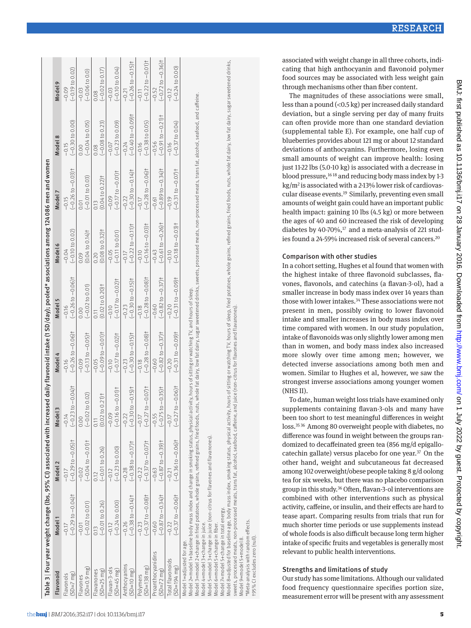# Strengths and limitations of study

Our study has some limitations. Although our validated food frequency questionnaire specifies portion size,

associated with weight change in all three cohorts, indicating that high anthocyanin and flavonoid polymer food sources may be associated with less weight gain through mechanisms other than fiber content. The magnitudes of these associations were small,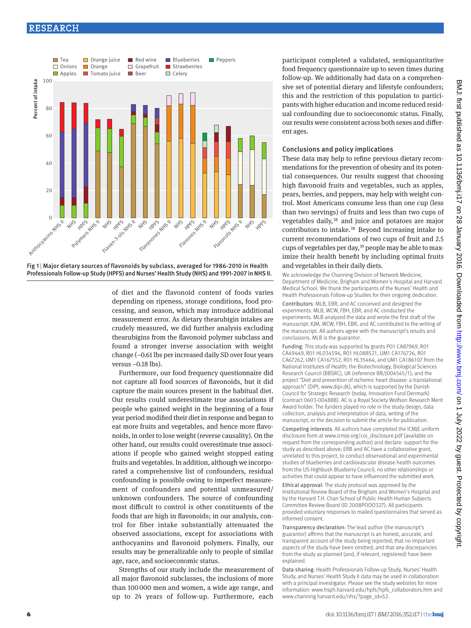

Fig 1 | Major dietary sources of flavonoids by subclass, averaged for 1986-2010 in Health Professionals Follow-up Study (HPFS) and Nurses' Health Study (NHS) and 1991-2007 in NHSII.

> of diet and the flavonoid content of foods varies depending on ripeness, storage conditions, food processing, and season, which may introduce additional measurement error. As dietary thearubigin intakes are crudely measured, we did further analysis excluding thearubigins from the flavonoid polymer subclass and found a stronger inverse association with weight change (−0.61 lbs per increased daily SD over four years versus −0.18 lbs).

> Furthermore, our food frequency questionnaire did not capture all food sources of flavonoids, but it did capture the main sources present in the habitual diet. Our results could underestimate true associations if people who gained weight in the beginning of a four year period modified their diet in response and began to eat more fruits and vegetables, and hence more flavonoids, in order to lose weight (reverse causality). On the other hand, our results could overestimate true associations if people who gained weight stopped eating fruits and vegetables. In addition, although we incorporated a comprehensive list of confounders, residual confounding is possible owing to imperfect measurement of confounders and potential unmeasured/ unknown confounders. The source of confounding most difficult to control is other constituents of the foods that are high in flavonoids; in our analysis, control for fiber intake substantially attenuated the observed associations, except for associations with anthocyanins and flavonoid polymers. Finally, our results may be generalizable only to people of similar age, race, and socioeconomic status.

> Strengths of our study include the measurement of all major flavonoid subclasses, the inclusions of more than 100000 men and women, a wide age range, and up to 24 years of follow-up. Furthermore, each

participant completed a validated, semiquantitative food frequency questionnaire up to seven times during follow-up. We additionally had data on a comprehensive set of potential dietary and lifestyle confounders; this and the restriction of this population to participants with higher education and income reduced residual confounding due to socioeconomic status. Finally, our results were consistent across both sexes and different ages.

# Conclusions and policy implications

These data may help to refine previous dietary recommendations for the prevention of obesity and its potential consequences. Our results suggest that choosing high flavonoid fruits and vegetables, such as apples, pears, berries, and peppers, may help with weight control. Most Americans consume less than one cup (less than two servings) of fruits and less than two cups of vegetables daily,<sup>38</sup> and juice and potatoes are major contributors to intake.38 Beyond increasing intake to current recommendations of two cups of fruit and 2.5 cups of vegetables per day,<sup>39</sup> people may be able to maximize their health benefit by including optimal fruits and vegetables in their daily diets.

We acknowledge the Channing Division of Network Medicine, Department of Medicine, Brigham and Women's Hospital and Harvard Medical School. We thank the participants of the Nurses' Health and Health Professionals Follow-up Studies for their ongoing dedication.

Contributors: MLB, EBR, and AC conceived and designed the experiments. MLB, WCW, FBH, EBR, and AC conducted the experiments. MLB analyzed the data and wrote the first draft of the manuscript. KJM, WCW, FBH, EBR, and AC contributed to the writing of the manuscript. All authors agree with the manuscript's results and conclusions. MLB is the guarantor.

Funding: This study was supported by grants P01 CA87969, R01 CA49449, R01 HL034594, R01 HL088521, UM1 CA176726, R01 CA67262, UM1 CA167552, R01 HL35464, and UM1 CA186107 from the National Institutes of Health; the Biotechnology, Biological Sciences Research Council (BBSRC), UK (reference BB/J004545/1); and the project "Diet and prevention of ischemic heart disease: a translational approach" (DIPI, www.dipi.dk), which is supported by the Danish Council for Strategic Research (today, Innovation Fund Denmark) (contract 0603-00488B). AC is a Royal Society Wolfson Research Merit Award holder. The funders played no role in the study design, data collection, analysis and interpretation of data, writing of the manuscript, or the decision to submit the article for publication.

Competing interests: All authors have completed the ICMJE uniform disclosure form at www.icmje.org/coi\_disclosure.pdf (available on request from the corresponding author) and declare: support for the study as described above; ERB and AC have a collaborative grant, unrelated to this project, to conduct observational and experimental studies of blueberries and cardiovascular disease health outcomes from the US Highbush Blueberry Council; no other relationships or activities that could appear to have influenced the submitted work.

Ethical approval: The study protocol was approved by the Institutional Review Board of the Brigham and Women's Hospital and by the Harvard T.H. Chan School of Public Health Human Subjects Committee Review Board (ID 2008POOO327). All participants provided voluntary responses to mailed questionnaires that served as informed consent.

Transparency declaration: The lead author (the manuscript's guarantor) affirms that the manuscript is an honest, accurate, and transparent account of the study being reported; that no important aspects of the study have been omitted; and that any discrepancies from the study as planned (and, if relevant, registered) have been explained.

Data sharing: Health Professionals Follow-up Study, Nurses' Health Study, and Nurses' Health Study II data may be used in collaboration with a principal investigator. Please see the study websites for more information: www.hsph.harvard.edu/hpfs/hpfs\_collaborators.htm and www.channing.harvard.edu/nhs/?page\_id=52.